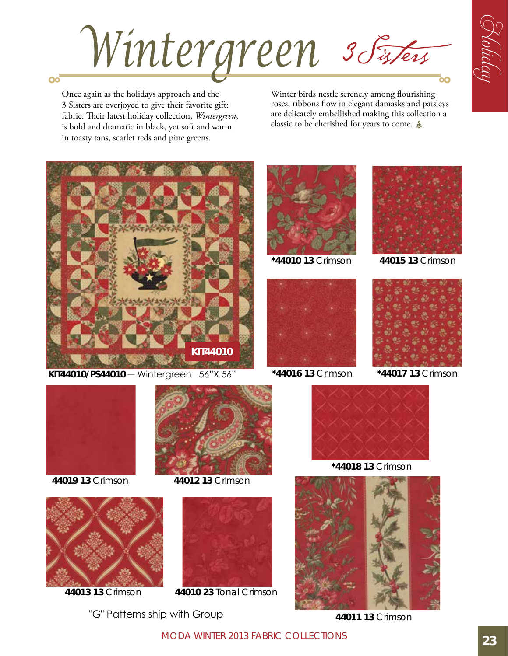G Koliday

Wintergreen 3 Fateur

Once again as the holidays approach and the 3 Sisters are overjoyed to give their favorite gift: fabric. Their latest holiday collection, *Wintergreen*, is bold and dramatic in black, yet soft and warm in toasty tans, scarlet reds and pine greens.

Oo

Winter birds nestle serenely among flourishing roses, ribbons flow in elegant damasks and paisleys are delicately embellished making this collection a classic to be cherished for years to come.



**KIT44010/PS44010** ― Wintergreen 56"X 56"



**\*44010 13** Crimson



 **\*44016 13** Crimson



**44015 13** Crimson



 **\*44017 13** Crimson









**44019 13** Crimson **44012 13** Crimson





**\*44018 13** Crimson



 **44011 13** Crimson

Moda Winter 2013 Fabric Collections **23**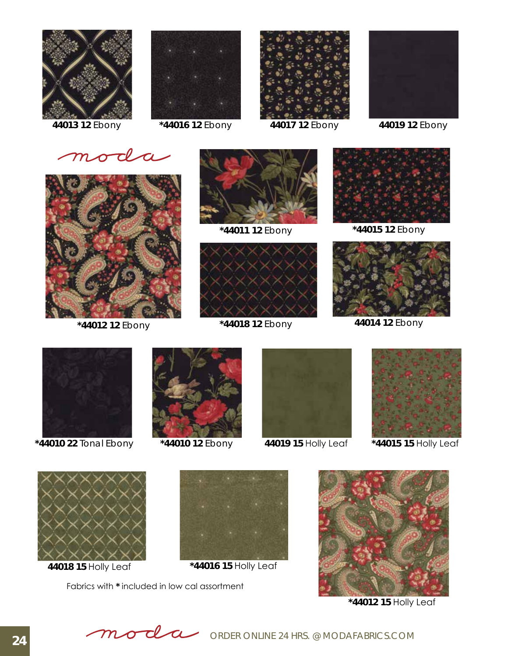



**\*44016 12** Ebony



**44017 12** Ebony



**44019 12** Ebony



**\*44012 12** Ebony



**\*44011 12** Ebony **\*44015 12** Ebony



**\*44018 12** Ebony **44014 12** Ebony







**\*44010 22** Tonal Ebony



**\*44010 12** Ebony



**44019 15** Holly Leaf



**\*44015 15** Holly Leaf







**44018 15** Holly Leaf **\*44016 15** Holly Leaf



 **\*44012 15** Holly Leaf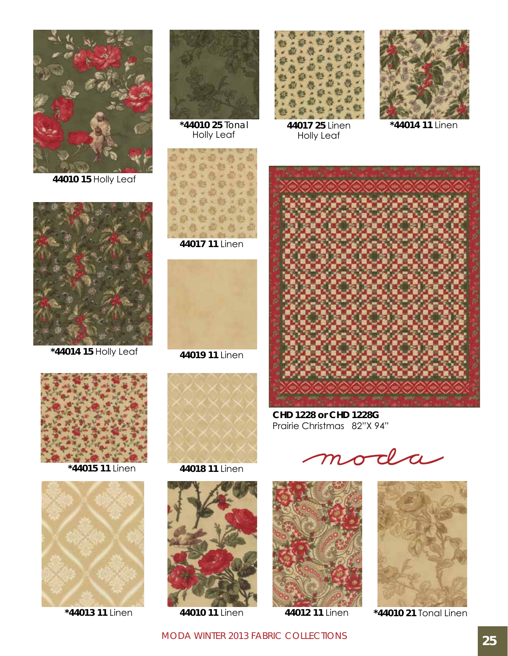

**44010 15** Holly Leaf



**\*44014 15** Holly Leaf



**\*44015 11** Linen



**\*44013 11** Linen **44010 11** Linen



**\*44010 25** Tonal Holly Leaf



**44017 11** Linen



**44019 11** Linen



**44018 11** Linen





**44017 25** Linen Holly Leaf



**\*44014 11** Linen



**CHD 1228 or CHD 1228G**  Prairie Christmas 82"X 94"

moda





**\*44010 21** Tonal Linen

**MODA WINTER 2013 FABRIC COLLECTIONS**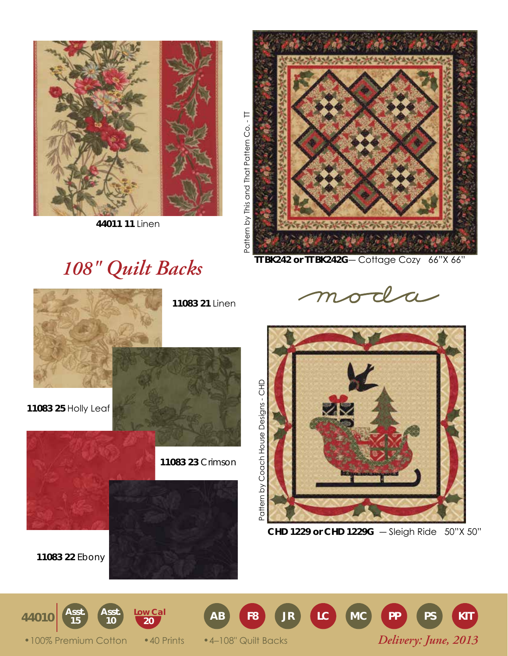

**44011 11** Linen

# Pattern by This and That Pattern Co. - TT Pattern by This and That Pattern Co. - TT

**TT BK242 or TT BK242G**― Cottage Cozy 66"X 66"

 $\sigma$ da  $m$ 



**CHD 1229 or CHD 1229G** ― Sleigh Ride 50"X 50"

**11083 23** Crimson

**11083 21** Linen



**11083 25** Holly Leaf



*108" Quilt Backs*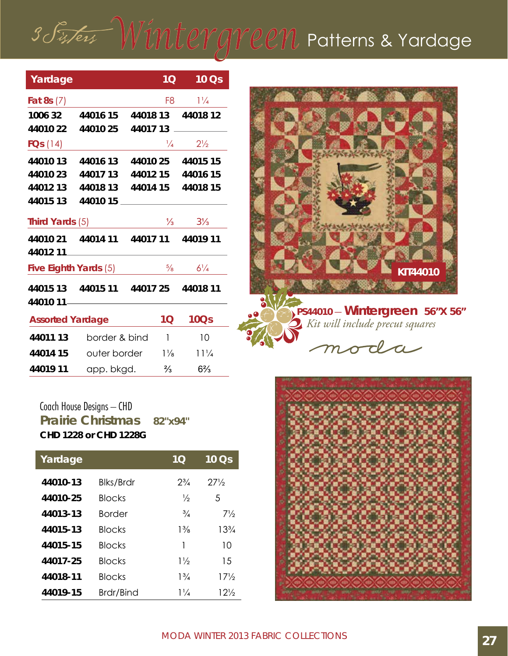# 3 Fisters Wintergreen Patterns & Yardage

| Yardage                 |                                     |          | 1Q            | 10 Qs                       |
|-------------------------|-------------------------------------|----------|---------------|-----------------------------|
| Fat 8s $(7)$            |                                     |          | F8            | $1\frac{1}{4}$              |
| 1006 32                 | 44016 15                            |          |               | 44018 13 44018 12           |
| <b>44010 22</b>         | 4401025                             | 44017 13 |               |                             |
| FOS(14)                 |                                     |          | $\frac{1}{4}$ | $2\frac{1}{2}$              |
| 44010 13                | 44016 13                            | 44010 25 |               | 44015 15                    |
| 44010 23                | 44017 13                            |          |               | 44012 15 44016 15           |
| 44012 13                | 44018 13                            |          |               | 44014 15 44018 15           |
| 44015 13                | 44010 15                            |          |               |                             |
| Third Yards (5)         |                                     |          |               | $\frac{1}{3}$ $\frac{3}{3}$ |
|                         | 44010 21 44014 11 44017 11 44019 11 |          |               |                             |
|                         |                                     |          |               |                             |
|                         | Five Eighth Yards (5)               |          | $\frac{5}{8}$ | $6\frac{1}{4}$              |
|                         | 44015 13 44015 11 44017 25 44018 11 |          |               |                             |
| <b>Assorted Yardage</b> |                                     |          | 10            | <b>10Qs</b>                 |
| 44011 13                | border & bind                       |          | $\mathbf{1}$  | 10                          |
| 44014 15                | outer border $1\frac{1}{8}$         |          |               | $11\frac{1}{4}$             |
| 44019 11                | app. bkgd.                          |          | $\frac{2}{3}$ | $6\frac{2}{3}$              |



moda

### **Prairie Christmas 82"x94"** Coach House Designs – CHD **CHD 1228 or CHD 1228G**

| Yardage  |                  | 1Q             | 10 Qs           |
|----------|------------------|----------------|-----------------|
| 44010-13 | <b>Blks/Brdr</b> | $2^{3}/_{4}$   | $27\frac{1}{2}$ |
| 44010-25 | <b>Blocks</b>    | $\frac{1}{2}$  | 5               |
| 44013-13 | <b>Border</b>    | $\frac{3}{4}$  | $7\frac{1}{2}$  |
| 44015-13 | <b>Blocks</b>    | $1\frac{3}{8}$ | $13\frac{3}{4}$ |
| 44015-15 | <b>Blocks</b>    | 1              | 10              |
| 44017-25 | <b>Blocks</b>    | $1\frac{1}{2}$ | 15              |
| 44018-11 | <b>Blocks</b>    | $1\frac{3}{4}$ | $17\frac{1}{2}$ |
| 44019-15 | Brdr/Bind        | $1\frac{1}{4}$ | $12\%$          |